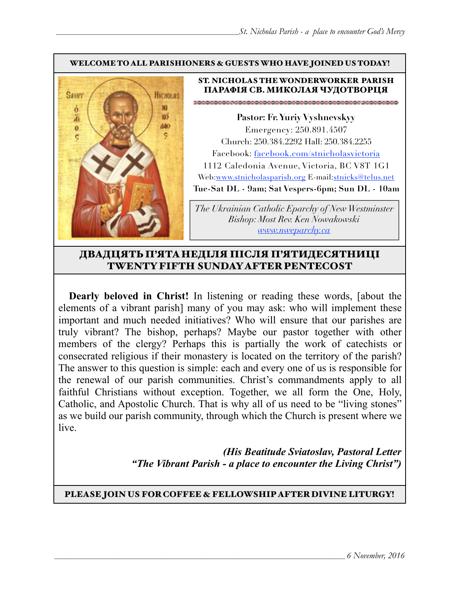#### WELCOME TO ALL PARISHIONERS & GUESTS WHO HAVE JOINED US TODAY!



#### ST. NICHOLAS THE WONDERWORKER PARISH ПАРАФІЯ СВ. МИКОЛАЯ ЧУДОТВОРЦЯ

**Pastor: Fr. Yuriy Vyshnevskyy** Emergency: 250.891.4507 Church: 250.384.2292 Hall: 250.384.2255 Facebook: facebook.com/stnicholasvictoria 1112 Caledonia Avenue, Victoria, BC V8T 1G1 Web[:www.stnicholasparish.org](http://www.stnicholasparish.org) E-mail:[stnicks@telus.net](mailto:stnicks@telus.net) **Tue-Sat DL - 9am; Sat Vespers-6pm; Sun DL - 10am**

*The Ukrainian Catholic Eparchy of New Westminster Bishop: Most Rev. Ken Nowakowski [www.nweparchy.ca](http://www.nweparchy.ca)*

# ДВАДЦЯТЬ П'ЯТАНЕДІЛЯ ПІСЛЯ П'ЯТИДЕСЯТНИЦІ TWENTY FIFTH SUNDAY AFTER PENTECOST

**Dearly beloved in Christ!** In listening or reading these words, [about the elements of a vibrant parish] many of you may ask: who will implement these important and much needed initiatives? Who will ensure that our parishes are truly vibrant? The bishop, perhaps? Maybe our pastor together with other members of the clergy? Perhaps this is partially the work of catechists or consecrated religious if their monastery is located on the territory of the parish? The answer to this question is simple: each and every one of us is responsible for the renewal of our parish communities. Christ's commandments apply to all faithful Christians without exception. Together, we all form the One, Holy, Catholic, and Apostolic Church. That is why all of us need to be "living stones" as we build our parish community, through which the Church is present where we live.

> *(His Beatitude Sviatoslav, Pastoral Letter "The Vibrant Parish - a place to encounter the Living Christ")*

### PLEASE JOIN US FOR COFFEE & FELLOWSHIP AFTER DIVINE LITURGY!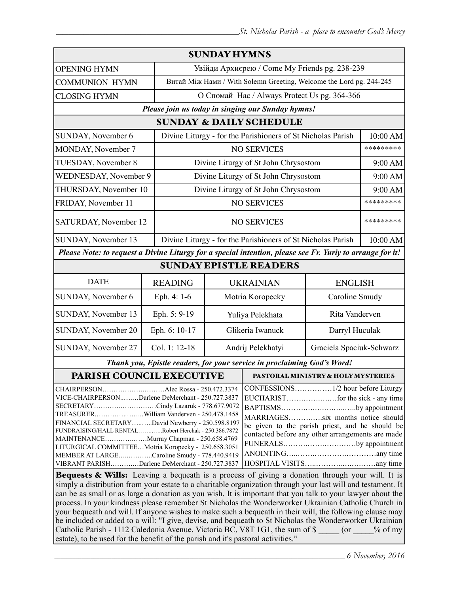| <b>SUNDAY HYMNS</b>                                                                                                                                                                                                                                                                                                                                                                                                                                                                                                                                                                                                                                                                  |                                              |                                               |                                                                         |                          |           |  |
|--------------------------------------------------------------------------------------------------------------------------------------------------------------------------------------------------------------------------------------------------------------------------------------------------------------------------------------------------------------------------------------------------------------------------------------------------------------------------------------------------------------------------------------------------------------------------------------------------------------------------------------------------------------------------------------|----------------------------------------------|-----------------------------------------------|-------------------------------------------------------------------------|--------------------------|-----------|--|
| <b>OPENING HYMN</b>                                                                                                                                                                                                                                                                                                                                                                                                                                                                                                                                                                                                                                                                  |                                              | Увійди Архиєрею / Come My Friends pg. 238-239 |                                                                         |                          |           |  |
| <b>COMMUNION HYMN</b>                                                                                                                                                                                                                                                                                                                                                                                                                                                                                                                                                                                                                                                                |                                              |                                               | Витай Між Нами / With Solemn Greeting, Welcome the Lord pg. 244-245     |                          |           |  |
| <b>CLOSING HYMN</b>                                                                                                                                                                                                                                                                                                                                                                                                                                                                                                                                                                                                                                                                  | О Спомай Нас / Always Protect Us pg. 364-366 |                                               |                                                                         |                          |           |  |
| Please join us today in singing our Sunday hymns!                                                                                                                                                                                                                                                                                                                                                                                                                                                                                                                                                                                                                                    |                                              |                                               |                                                                         |                          |           |  |
|                                                                                                                                                                                                                                                                                                                                                                                                                                                                                                                                                                                                                                                                                      |                                              |                                               | <b>SUNDAY &amp; DAILY SCHEDULE</b>                                      |                          |           |  |
| SUNDAY, November 6<br>Divine Liturgy - for the Parishioners of St Nicholas Parish                                                                                                                                                                                                                                                                                                                                                                                                                                                                                                                                                                                                    |                                              |                                               |                                                                         |                          | 10:00 AM  |  |
| MONDAY, November 7                                                                                                                                                                                                                                                                                                                                                                                                                                                                                                                                                                                                                                                                   |                                              |                                               | <b>NO SERVICES</b>                                                      |                          | ********* |  |
| TUESDAY, November 8                                                                                                                                                                                                                                                                                                                                                                                                                                                                                                                                                                                                                                                                  |                                              |                                               | Divine Liturgy of St John Chrysostom                                    |                          | 9:00 AM   |  |
| <b>WEDNESDAY, November 9</b>                                                                                                                                                                                                                                                                                                                                                                                                                                                                                                                                                                                                                                                         |                                              |                                               | Divine Liturgy of St John Chrysostom                                    |                          | 9:00 AM   |  |
|                                                                                                                                                                                                                                                                                                                                                                                                                                                                                                                                                                                                                                                                                      | THURSDAY, November 10                        |                                               | Divine Liturgy of St John Chrysostom                                    |                          | 9:00 AM   |  |
| FRIDAY, November 11                                                                                                                                                                                                                                                                                                                                                                                                                                                                                                                                                                                                                                                                  | <b>NO SERVICES</b>                           |                                               |                                                                         |                          | ********* |  |
| SATURDAY, November 12                                                                                                                                                                                                                                                                                                                                                                                                                                                                                                                                                                                                                                                                |                                              | <b>NO SERVICES</b>                            |                                                                         |                          | ********* |  |
| SUNDAY, November 13<br>Divine Liturgy - for the Parishioners of St Nicholas Parish                                                                                                                                                                                                                                                                                                                                                                                                                                                                                                                                                                                                   |                                              |                                               |                                                                         | 10:00 AM                 |           |  |
| Please Note: to request a Divine Liturgy for a special intention, please see Fr. Yuriy to arrange for it!                                                                                                                                                                                                                                                                                                                                                                                                                                                                                                                                                                            |                                              |                                               |                                                                         |                          |           |  |
| <b>SUNDAY EPISTLE READERS</b>                                                                                                                                                                                                                                                                                                                                                                                                                                                                                                                                                                                                                                                        |                                              |                                               |                                                                         |                          |           |  |
| <b>DATE</b>                                                                                                                                                                                                                                                                                                                                                                                                                                                                                                                                                                                                                                                                          | <b>READING</b>                               | <b>UKRAINIAN</b><br><b>ENGLISH</b>            |                                                                         |                          |           |  |
| SUNDAY, November 6                                                                                                                                                                                                                                                                                                                                                                                                                                                                                                                                                                                                                                                                   | Eph. 4: 1-6                                  | Motria Koropecky<br>Caroline Smudy            |                                                                         |                          |           |  |
| SUNDAY, November 13                                                                                                                                                                                                                                                                                                                                                                                                                                                                                                                                                                                                                                                                  | Eph. 5: 9-19                                 | Yuliya Pelekhata                              |                                                                         | Rita Vanderven           |           |  |
| SUNDAY, November 20                                                                                                                                                                                                                                                                                                                                                                                                                                                                                                                                                                                                                                                                  | Eph. 6: 10-17                                | Glikeria Iwanuck                              |                                                                         | Darryl Huculak           |           |  |
| SUNDAY, November 27                                                                                                                                                                                                                                                                                                                                                                                                                                                                                                                                                                                                                                                                  | Col. 1: 12-18                                | Andrij Pelekhatyi                             |                                                                         | Graciela Spaciuk-Schwarz |           |  |
|                                                                                                                                                                                                                                                                                                                                                                                                                                                                                                                                                                                                                                                                                      |                                              |                                               | Thank you, Epistle readers, for your service in proclaiming God's Word! |                          |           |  |
| PARISH COUNCIL EXECUTIVE                                                                                                                                                                                                                                                                                                                                                                                                                                                                                                                                                                                                                                                             |                                              |                                               | <b>PASTORAL MINISTRY &amp; HOLY MYSTERIES</b>                           |                          |           |  |
| CONFESSIONS1/2 hour before Liturgy<br>CHAIRPERSONAlec Rossa - 250.472.3374<br>VICE-CHAIRPERSONDarlene DeMerchant - 250.727.3837<br>SECRETARYCindy Lazaruk - 778.677.9072<br>BAPTISMSby appointment<br>TREASURERWilliam Vanderven - 250.478.1458<br>MARRIAGESsix months notice should<br>FINANCIAL SECRETARYDavid Newberry - 250.598.8197<br>be given to the parish priest, and he should be<br>FUNDRAISING/HALL RENTALRobert Herchak - 250.386.7872<br>contacted before any other arrangements are made<br>MAINTENANCEMurray Chapman - 250.658.4769<br>FUNERALSby appointment<br>LITURGICAL COMMITTEEMotria Koropecky - 250.658.3051<br>MEMBER AT LARGECaroline Smudy - 778.440.9419 |                                              |                                               |                                                                         |                          |           |  |
| VIBRANT PARISHDarlene DeMerchant - 250.727.3837<br><b>Bequests &amp; Wills:</b> Leaving a bequeath is a process of giving a donation through your will. It is                                                                                                                                                                                                                                                                                                                                                                                                                                                                                                                        |                                              |                                               |                                                                         |                          |           |  |

simply a distribution from your estate to a charitable organization through your last will and testament. It can be as small or as large a donation as you wish. It is important that you talk to your lawyer about the process. In your kindness please remember St Nicholas the Wonderworker Ukrainian Catholic Church in your bequeath and will. If anyone wishes to make such a bequeath in their will, the following clause may be included or added to a will: "I give, devise, and bequeath to St Nicholas the Wonderworker Ukrainian Catholic Parish - 1112 Caledonia Avenue, Victoria BC, V8T 1G1, the sum of \$  $\qquad \qquad$  (or  $\qquad \qquad$  % of my estate), to be used for the benefit of the parish and it's pastoral activities."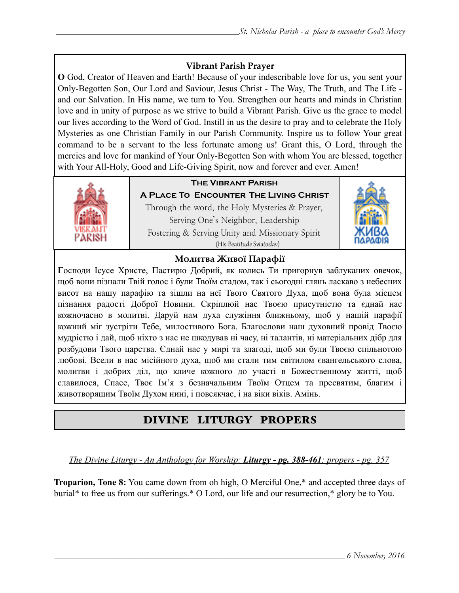# **Vibrant Parish Prayer**

**O** God, Creator of Heaven and Earth! Because of your indescribable love for us, you sent your Only-Begotten Son, Our Lord and Saviour, Jesus Christ - The Way, The Truth, and The Life and our Salvation. In His name, we turn to You. Strengthen our hearts and minds in Christian love and in unity of purpose as we strive to build a Vibrant Parish. Give us the grace to model our lives according to the Word of God. Instill in us the desire to pray and to celebrate the Holy Mysteries as one Christian Family in our Parish Community. Inspire us to follow Your great command to be a servant to the less fortunate among us! Grant this, O Lord, through the mercies and love for mankind of Your Only-Begotten Son with whom You are blessed, together with Your All-Holy, Good and Life-Giving Spirit, now and forever and ever. Amen!



# **The Vibrant Parish**

**A Place To Encounter The Living Christ** Through the word, the Holy Mysteries & Prayer, Serving One's Neighbor, Leadership Fostering & Serving Unity and Missionary Spirit (His Beatitude Sviatoslav)



# **Молитва Живої Парафії**

**Г**осподи Ісусе Христе, Пастирю Добрий, як колись Ти пригорнув заблуканих овечок, щоб вони пізнали Твій голос і були Твоїм стадом, так і сьогодні глянь ласкаво з небесних висот на нашу парафію та зішли на неї Твого Святого Духа, щоб вона була місцем пізнання радості Доброї Новини. Скріплюй нас Твоєю присутністю та єднай нас кожночасно в молитві. Даруй нам духа служіння ближньому, щоб у нашій парафії кожний міг зустріти Тебе, милостивого Бога. Благослови наш духовний провід Твоєю мудрістю і дай, щоб ніхто з нас не шкодував ні часу, ні талантів, ні матеріальних дібр для розбудови Твого царства. Єднай нас у мирі та злагоді, щоб ми були Твоєю спільнотою любові. Всели в нас місійного духа, щоб ми стали тим світилом євангельського слова, молитви і добрих діл, що кличе кожного до участі в Божественному житті, щоб славилося, Спасе, Твоє Ім'я з безначальним Твоїм Отцем та пресвятим, благим і животворящим Твоїм Духом нині, і повсякчас, і на віки віків. Амінь.

# DIVINE LITURGY PROPERS

# *The Divine Liturgy - An Anthology for Worship: Liturgy - pg. 388-461; propers - pg. 357*

**Troparion, Tone 8:** You came down from oh high, O Merciful One,\* and accepted three days of burial\* to free us from our sufferings.\* O Lord, our life and our resurrection,\* glory be to You.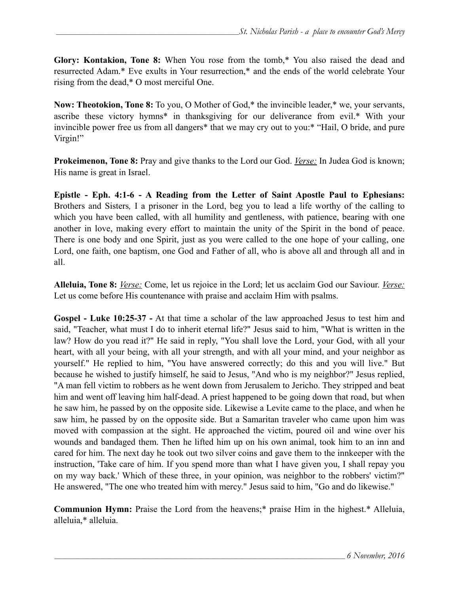**Glory: Kontakion, Tone 8:** When You rose from the tomb,\* You also raised the dead and resurrected Adam.\* Eve exults in Your resurrection,\* and the ends of the world celebrate Your rising from the dead,\* O most merciful One.

**Now: Theotokion, Tone 8:** To you, O Mother of God,\* the invincible leader,\* we, your servants, ascribe these victory hymns\* in thanksgiving for our deliverance from evil.\* With your invincible power free us from all dangers\* that we may cry out to you:\* "Hail, O bride, and pure Virgin!"

**Prokeimenon, Tone 8:** Pray and give thanks to the Lord our God. *Verse:* In Judea God is known; His name is great in Israel.

**Epistle - Eph. 4:1-6 - A Reading from the Letter of Saint Apostle Paul to Ephesians:** Brothers and Sisters*,* I a prisoner in the Lord, beg you to lead a life worthy of the calling to which you have been called, with all humility and gentleness, with patience, bearing with one another in love, making every effort to maintain the unity of the Spirit in the bond of peace. There is one body and one Spirit, just as you were called to the one hope of your calling, one Lord, one faith, one baptism, one God and Father of all, who is above all and through all and in all.

**Alleluia, Tone 8:** *Verse:* Come, let us rejoice in the Lord; let us acclaim God our Saviour. *Verse:* Let us come before His countenance with praise and acclaim Him with psalms.

**Gospel - Luke 10:25-37 -** At that time a scholar of the law approached Jesus to test him and said, "Teacher, what must I do to inherit eternal life?" Jesus said to him, "What is written in the law? How do you read it?" He said in reply, "You shall love the Lord, your God, with all your heart, with all your being, with all your strength, and with all your mind, and your neighbor as yourself." He replied to him, "You have answered correctly; do this and you will live." But because he wished to justify himself, he said to Jesus, "And who is my neighbor?" Jesus replied, "A man fell victim to robbers as he went down from Jerusalem to Jericho. They stripped and beat him and went off leaving him half-dead. A priest happened to be going down that road, but when he saw him, he passed by on the opposite side. Likewise a Levite came to the place, and when he saw him, he passed by on the opposite side. But a Samaritan traveler who came upon him was moved with compassion at the sight. He approached the victim, poured oil and wine over his wounds and bandaged them. Then he lifted him up on his own animal, took him to an inn and cared for him. The next day he took out two silver coins and gave them to the innkeeper with the instruction, 'Take care of him. If you spend more than what I have given you, I shall repay you on my way back.' Which of these three, in your opinion, was neighbor to the robbers' victim?" He answered, "The one who treated him with mercy." Jesus said to him, "Go and do likewise."

**Communion Hymn:** Praise the Lord from the heavens;\* praise Him in the highest.\* Alleluia, alleluia,\* alleluia.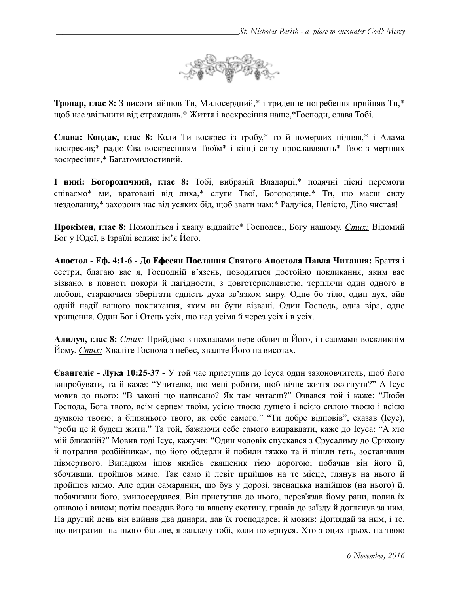

**Тропар, глас 8:** З висоти зійшов Ти, Милосердний,\* і триденне погребення прийняв Ти,\* щоб нас звільнити від страждань.\* Життя і воскресіння наше,\*Господи, слава Тобі.

**Слава: Кондак, глас 8:** Коли Ти воскрес із гробу,\* то й померлих підняв,\* і Адама воскресив;\* радіє Єва воскресінням Твоїм\* і кінці світу прославляють\* Твоє з мертвих воскресіння,\* Багатомилостивий.

**І нині: Богородичний, глас 8:** Тобі, вибраній Владарці,\* подячні пісні перемоги співаємо\* ми, вратовані від лиха,\* слуги Твої, Богородице.\* Ти, що маєш силу нездоланну,\* захорони нас від усяких бід, щоб звати нам:\* Радуйся, Невісто, Діво чистая!

**Прокімен, глас 8:** Помоліться і хвалу віддайте\* Господеві, Богу нашому. *Стих:* Відомий Бог у Юдеї, в Ізраїлі велике ім'я Його.

**Апостол - Еф. 4:1-6 - До Ефесян Послання Святого Апостола Павла Читання:** Браття і сестри, благаю вас я, Господній в'язень, поводитися достойно покликання, яким вас візвано, в повноті покори й лагідности, з довготерпеливістю, терплячи один одного в любові, стараючися зберігати єдність духа зв'язком миру. Одне бо тіло, один дух, айв одній надії вашого покликання, яким ви були візвані. Один Господь, одна віра, одне хрищення. Один Бог і Отець усіх, що над усіма й через усіх і в усіх.

**Алилуя, глас 8:** *Стих:* Прийдімо з похвалами пере обличчя Його, і псалмами воскликнім Йому. *Стих:* Хваліте Господа з небес, хваліте Його на висотах.

**Євангеліє - Лука 10:25-37 -** У той час приступив до Ісуса один законовчитель, щоб його випробувати, та й каже: "Учителю, що мені робити, щоб вічне життя осягнути?" А Ісус мовив до нього: "В законі що написано? Як там читаєш?" Озвався той і каже: "Люби Господа, Бога твого, всім серцем твоїм, усією твоєю душею і всією силою твоєю і всією думкою твоєю; а ближнього твого, як себе самого." "Ти добре відповів", сказав (Ісус), "роби це й будеш жити." Та той, бажаючи себе самого виправдати, каже до Ісуса: "А хто мій ближній?" Мовив тоді Ісус, кажучи: "Один чоловік спускався з Єрусалиму до Єрихону й потрапив розбійникам, що його обдерли й побили тяжко та й пішли геть, зоставивши півмертвого. Випадком ішов якийсь священик тією дорогою; побачив він його й, збочивши, пройшов мимо. Так само й левіт прийшов на те місце, глянув на нього й пройшов мимо. Але один самарянин, що був у дорозі, зненацька надійшов (на нього) й, побачивши його, змилосердився. Він приступив до нього, перев'язав йому рани, полив їх оливою і вином; потім посадив його на власну скотину, привів до заїзду й доглянув за ним. На другий день він вийняв два динари, дав їх господареві й мовив: Доглядай за ним, і те, що витратиш на нього більше, я заплачу тобі, коли повернуся. Хто з оцих трьох, на твою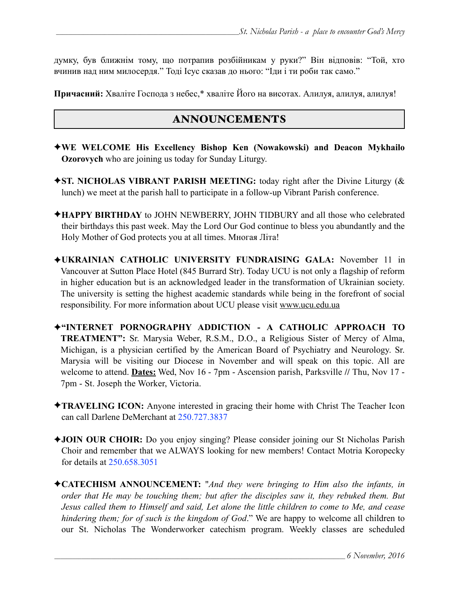думку, був ближнім тому, що потрапив розбійникам у руки?" Він відповів: "Той, хто вчинив над ним милосердя." Тоді Ісус сказав до нього: "Іди і ти роби так само."

**Причасний:** Хваліте Господа з небес,\* хваліте Його на висотах. Алилуя, алилуя, алилуя!

# ANNOUNCEMENTS

- ✦**WE WELCOME His Excellency Bishop Ken (Nowakowski) and Deacon Mykhailo Ozorovych** who are joining us today for Sunday Liturgy.
- ✦**ST. NICHOLAS VIBRANT PARISH MEETING:** today right after the Divine Liturgy (& lunch) we meet at the parish hall to participate in a follow-up Vibrant Parish conference.
- ✦**HAPPY BIRTHDAY** to JOHN NEWBERRY, JOHN TIDBURY and all those who celebrated their birthdays this past week. May the Lord Our God continue to bless you abundantly and the Holy Mother of God protects you at all times. Многая Літа!
- ✦**UKRAINIAN CATHOLIC UNIVERSITY FUNDRAISING GALA:** November 11 in Vancouver at Sutton Place Hotel (845 Burrard Str). Today UCU is not only a flagship of reform in higher education but is an acknowledged leader in the transformation of Ukrainian society. The university is setting the highest academic standards while being in the forefront of social responsibility. For more information about UCU please visit www.ucu.edu.ua
- ✦**"INTERNET PORNOGRAPHY ADDICTION A CATHOLIC APPROACH TO TREATMENT":** Sr. Marysia Weber, R.S.M., D.O., a Religious Sister of Mercy of Alma, Michigan, is a physician certified by the American Board of Psychiatry and Neurology. Sr. Marysia will be visiting our Diocese in November and will speak on this topic. All are welcome to attend. **Dates:** Wed, Nov 16 - 7pm - Ascension parish, Parksville **//** Thu, Nov 17 - 7pm - St. Joseph the Worker, Victoria.
- ✦**TRAVELING ICON:** Anyone interested in gracing their home with Christ The Teacher Icon can call Darlene DeMerchant at 250.727.3837
- ✦**JOIN OUR CHOIR:** Do you enjoy singing? Please consider joining our St Nicholas Parish Choir and remember that we ALWAYS looking for new members! Contact Motria Koropecky for details at 250.658.3051
- ✦**CATECHISM ANNOUNCEMENT:** "*And they were bringing to Him also the infants, in order that He may be touching them; but after the disciples saw it, they rebuked them. But Jesus called them to Himself and said, Let alone the little children to come to Me, and cease hindering them; for of such is the kingdom of God*." We are happy to welcome all children to our St. Nicholas The Wonderworker catechism program. Weekly classes are scheduled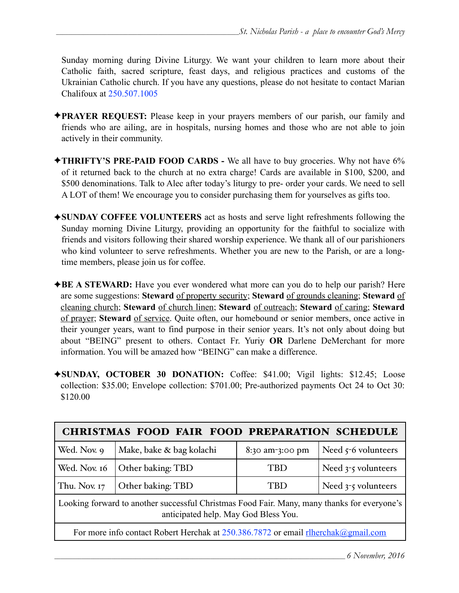Sunday morning during Divine Liturgy. We want your children to learn more about their Catholic faith, sacred scripture, feast days, and religious practices and customs of the Ukrainian Catholic church. If you have any questions, please do not hesitate to contact Marian Chalifoux at 250.507.1005

- ✦**PRAYER REQUEST:** Please keep in your prayers members of our parish, our family and friends who are ailing, are in hospitals, nursing homes and those who are not able to join actively in their community.
- ✦**THRIFTY'S PRE-PAID FOOD CARDS** We all have to buy groceries. Why not have 6% of it returned back to the church at no extra charge! Cards are available in \$100, \$200, and \$500 denominations. Talk to Alec after today's liturgy to pre- order your cards. We need to sell A LOT of them! We encourage you to consider purchasing them for yourselves as gifts too.
- ✦**SUNDAY COFFEE VOLUNTEERS** act as hosts and serve light refreshments following the Sunday morning Divine Liturgy, providing an opportunity for the faithful to socialize with friends and visitors following their shared worship experience. We thank all of our parishioners who kind volunteer to serve refreshments. Whether you are new to the Parish, or are a longtime members, please join us for coffee.
- ✦**BE A STEWARD:** Have you ever wondered what more can you do to help our parish? Here are some suggestions: **Steward** of property security; **Steward** of grounds cleaning; **Steward** of cleaning church; **Steward** of church linen; **Steward** of outreach; **Steward** of caring; **Steward** of prayer; **Steward** of service. Quite often, our homebound or senior members, once active in their younger years, want to find purpose in their senior years. It's not only about doing but about "BEING" present to others. Contact Fr. Yuriy **OR** Darlene DeMerchant for more information. You will be amazed how "BEING" can make a difference.
- ✦**SUNDAY, OCTOBER 30 DONATION:** Coffee: \$41.00; Vigil lights: \$12.45; Loose collection: \$35.00; Envelope collection: \$701.00; Pre-authorized payments Oct 24 to Oct 30: \$120.00

| <b>CHRISTMAS FOOD FAIR FOOD PREPARATION SCHEDULE</b>                                                                                |                          |                 |                       |  |  |
|-------------------------------------------------------------------------------------------------------------------------------------|--------------------------|-----------------|-----------------------|--|--|
| Wed. Nov. 9                                                                                                                         | Make, bake & bag kolachi | 8:30 am-3:00 pm | Need $5-6$ volunteers |  |  |
| Wed. Nov. 16                                                                                                                        | Other baking: TBD        | TBD             | Need $3-5$ volunteers |  |  |
| Thu. Nov. 17                                                                                                                        | Other baking: TBD        | TBD             | Need $3-5$ volunteers |  |  |
| Looking forward to another successful Christmas Food Fair. Many, many thanks for everyone's<br>anticipated help. May God Bless You. |                          |                 |                       |  |  |
| For more info contact Robert Herchak at 250.386.7872 or email rlherchak@gmail.com                                                   |                          |                 |                       |  |  |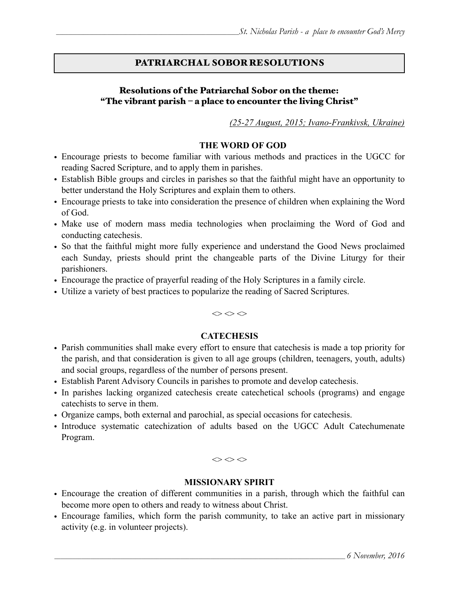# PATRIARCHAL SOBOR RESOLUTIONS

#### Resolutions of the Patriarchal Sobor on the theme: "The vibrant parish – a place to encounter the living Christ"

*(25-27 August, 2015; Ivano-Frankivsk, Ukraine)*

#### **THE WORD OF GOD**

- Encourage priests to become familiar with various methods and practices in the UGCC for reading Sacred Scripture, and to apply them in parishes.
- Establish Bible groups and circles in parishes so that the faithful might have an opportunity to better understand the Holy Scriptures and explain them to others.
- Encourage priests to take into consideration the presence of children when explaining the Word of God.
- Make use of modern mass media technologies when proclaiming the Word of God and conducting catechesis.
- So that the faithful might more fully experience and understand the Good News proclaimed each Sunday, priests should print the changeable parts of the Divine Liturgy for their parishioners.
- Encourage the practice of prayerful reading of the Holy Scriptures in a family circle.
- Utilize a variety of best practices to popularize the reading of Sacred Scriptures.

 $\diamond$ 

#### **CATECHESIS**

- Parish communities shall make every effort to ensure that catechesis is made a top priority for the parish, and that consideration is given to all age groups (children, teenagers, youth, adults) and social groups, regardless of the number of persons present.
- Establish Parent Advisory Councils in parishes to promote and develop catechesis.
- In parishes lacking organized catechesis create catechetical schools (programs) and engage catechists to serve in them.
- Organize camps, both external and parochial, as special occasions for catechesis.
- Introduce systematic catechization of adults based on the UGCC Adult Catechumenate Program.

 $\Leftrightarrow$   $\Leftrightarrow$   $\Leftrightarrow$ 

#### **MISSIONARY SPIRIT**

- Encourage the creation of different communities in a parish, through which the faithful can become more open to others and ready to witness about Christ.
- Encourage families, which form the parish community, to take an active part in missionary activity (e.g. in volunteer projects).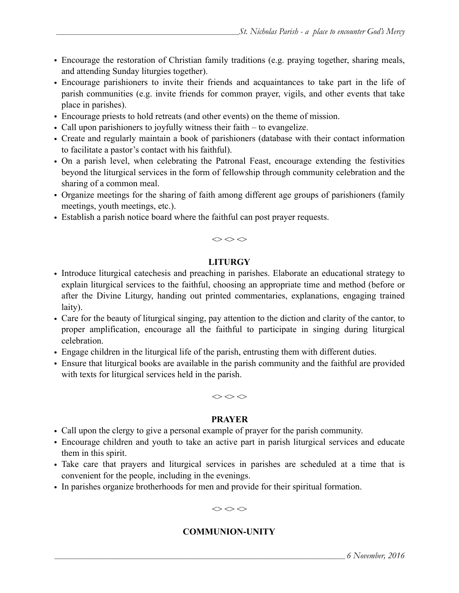- Encourage the restoration of Christian family traditions (e.g. praying together, sharing meals, and attending Sunday liturgies together).
- Encourage parishioners to invite their friends and acquaintances to take part in the life of parish communities (e.g. invite friends for common prayer, vigils, and other events that take place in parishes).
- Encourage priests to hold retreats (and other events) on the theme of mission.
- Call upon parishioners to joyfully witness their faith to evangelize.
- Create and regularly maintain a book of parishioners (database with their contact information to facilitate a pastor's contact with his faithful).
- On a parish level, when celebrating the Patronal Feast, encourage extending the festivities beyond the liturgical services in the form of fellowship through community celebration and the sharing of a common meal.
- Organize meetings for the sharing of faith among different age groups of parishioners (family meetings, youth meetings, etc.).
- Establish a parish notice board where the faithful can post prayer requests.



### **LITURGY**

- Introduce liturgical catechesis and preaching in parishes. Elaborate an educational strategy to explain liturgical services to the faithful, choosing an appropriate time and method (before or after the Divine Liturgy, handing out printed commentaries, explanations, engaging trained laity).
- Care for the beauty of liturgical singing, pay attention to the diction and clarity of the cantor, to proper amplification, encourage all the faithful to participate in singing during liturgical celebration.
- Engage children in the liturgical life of the parish, entrusting them with different duties.
- Ensure that liturgical books are available in the parish community and the faithful are provided with texts for liturgical services held in the parish.

 $\diamond$ 

### **PRAYER**

- Call upon the clergy to give a personal example of prayer for the parish community.
- Encourage children and youth to take an active part in parish liturgical services and educate them in this spirit.
- Take care that prayers and liturgical services in parishes are scheduled at a time that is convenient for the people, including in the evenings.
- In parishes organize brotherhoods for men and provide for their spiritual formation.

 $\Leftrightarrow$   $\Leftrightarrow$   $\Leftrightarrow$ 

### **COMMUNION-UNITY**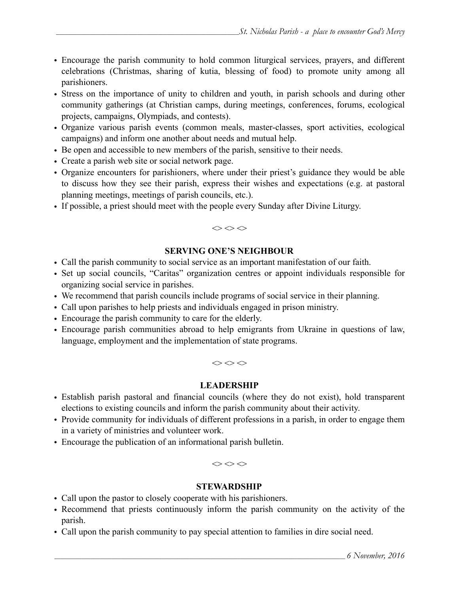- Encourage the parish community to hold common liturgical services, prayers, and different celebrations (Christmas, sharing of kutia, blessing of food) to promote unity among all parishioners.
- Stress on the importance of unity to children and youth, in parish schools and during other community gatherings (at Christian camps, during meetings, conferences, forums, ecological projects, campaigns, Olympiads, and contests).
- Organize various parish events (common meals, master-classes, sport activities, ecological campaigns) and inform one another about needs and mutual help.
- Be open and accessible to new members of the parish, sensitive to their needs.
- Create a parish web site or social network page.
- Organize encounters for parishioners, where under their priest's guidance they would be able to discuss how they see their parish, express their wishes and expectations (e.g. at pastoral planning meetings, meetings of parish councils, etc.).
- If possible, a priest should meet with the people every Sunday after Divine Liturgy.

# **SERVING ONE'S NEIGHBOUR**

 $\Leftrightarrow$   $\Leftrightarrow$   $\Leftrightarrow$ 

- Call the parish community to social service as an important manifestation of our faith.
- Set up social councils, "Caritas" organization centres or appoint individuals responsible for organizing social service in parishes.
- We recommend that parish councils include programs of social service in their planning.
- Call upon parishes to help priests and individuals engaged in prison ministry.
- Encourage the parish community to care for the elderly.
- Encourage parish communities abroad to help emigrants from Ukraine in questions of law, language, employment and the implementation of state programs.

 $\Leftrightarrow$   $\Leftrightarrow$   $\Leftrightarrow$ 

### **LEADERSHIP**

- Establish parish pastoral and financial councils (where they do not exist), hold transparent elections to existing councils and inform the parish community about their activity.
- Provide community for individuals of different professions in a parish, in order to engage them in a variety of ministries and volunteer work.
- Encourage the publication of an informational parish bulletin.

 $\diamond$ 

### **STEWARDSHIP**

- Call upon the pastor to closely cooperate with his parishioners.
- Recommend that priests continuously inform the parish community on the activity of the parish.
- Call upon the parish community to pay special attention to families in dire social need.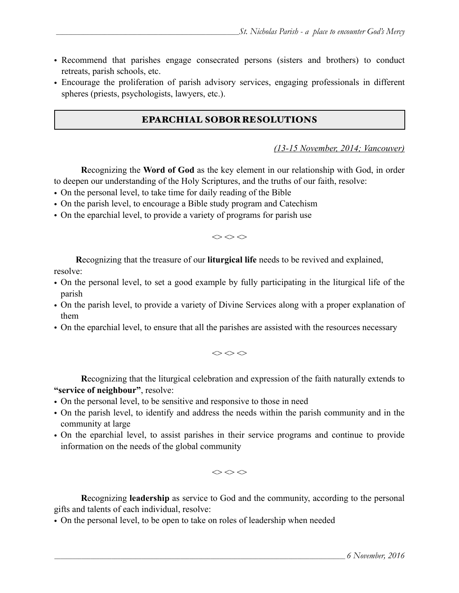- Recommend that parishes engage consecrated persons (sisters and brothers) to conduct retreats, parish schools, etc.
- Encourage the proliferation of parish advisory services, engaging professionals in different spheres (priests, psychologists, lawyers, etc.).

## EPARCHIAL SOBOR RESOLUTIONS

*(13-15 November, 2014; Vancouver)* 

**R**ecognizing the **Word of God** as the key element in our relationship with God, in order to deepen our understanding of the Holy Scriptures, and the truths of our faith, resolve:

- On the personal level, to take time for daily reading of the Bible
- On the parish level, to encourage a Bible study program and Catechism
- On the eparchial level, to provide a variety of programs for parish use

 $\diamond$ 

**R**ecognizing that the treasure of our **liturgical life** needs to be revived and explained,

resolve:

- On the personal level, to set a good example by fully participating in the liturgical life of the parish
- On the parish level, to provide a variety of Divine Services along with a proper explanation of them
- On the eparchial level, to ensure that all the parishes are assisted with the resources necessary

 $\Leftrightarrow$   $\Leftrightarrow$   $\Leftrightarrow$ 

**R**ecognizing that the liturgical celebration and expression of the faith naturally extends to **"service of neighbour"**, resolve:

- On the personal level, to be sensitive and responsive to those in need
- On the parish level, to identify and address the needs within the parish community and in the community at large
- On the eparchial level, to assist parishes in their service programs and continue to provide information on the needs of the global community

 $\Leftrightarrow$   $\Leftrightarrow$   $\Leftrightarrow$ 

**R**ecognizing **leadership** as service to God and the community, according to the personal gifts and talents of each individual, resolve:

• On the personal level, to be open to take on roles of leadership when needed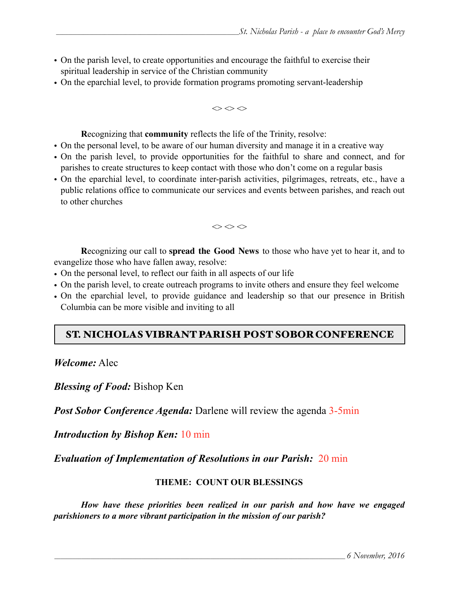- On the parish level, to create opportunities and encourage the faithful to exercise their spiritual leadership in service of the Christian community
- On the eparchial level, to provide formation programs promoting servant-leadership

 $\diamond$ 

**R**ecognizing that **community** reflects the life of the Trinity, resolve:

- On the personal level, to be aware of our human diversity and manage it in a creative way
- On the parish level, to provide opportunities for the faithful to share and connect, and for parishes to create structures to keep contact with those who don't come on a regular basis
- On the eparchial level, to coordinate inter-parish activities, pilgrimages, retreats, etc., have a public relations office to communicate our services and events between parishes, and reach out to other churches

 $\Leftrightarrow$   $\Leftrightarrow$   $\Leftrightarrow$ 

**R**ecognizing our call to **spread the Good News** to those who have yet to hear it, and to evangelize those who have fallen away, resolve:

- On the personal level, to reflect our faith in all aspects of our life
- On the parish level, to create outreach programs to invite others and ensure they feel welcome
- On the eparchial level, to provide guidance and leadership so that our presence in British Columbia can be more visible and inviting to all

# ST. NICHOLAS VIBRANT PARISH POST SOBOR CONFERENCE

*Welcome:* Alec

*Blessing of Food:* Bishop Ken

*Post Sobor Conference Agenda:* Darlene will review the agenda 3-5min

*Introduction by Bishop Ken:* 10 min

*Evaluation of Implementation of Resolutions in our Parish:* 20 min

#### **THEME:****COUNT OUR BLESSINGS**

 *How have these priorities been realized in our parish and how have we engaged parishioners to a more vibrant participation in the mission of our parish?*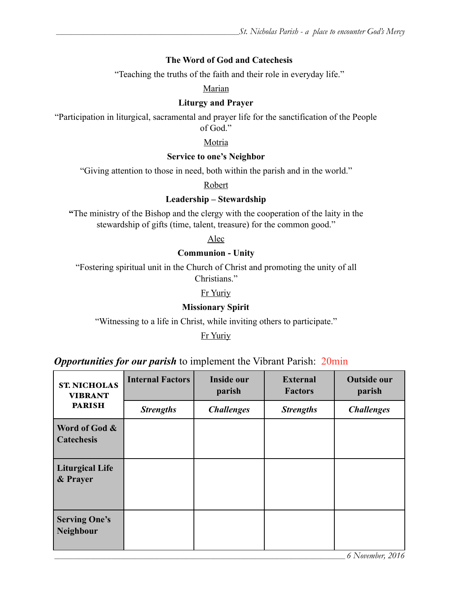#### **The Word of God and Catechesis**

"Teaching the truths of the faith and their role in everyday life."

#### Marian

#### **Liturgy and Prayer**

"Participation in liturgical, sacramental and prayer life for the sanctification of the People of God."

#### Motria

#### **Service to one's Neighbor**

"Giving attention to those in need, both within the parish and in the world."

Robert

#### **Leadership – Stewardship**

**"**The ministry of the Bishop and the clergy with the cooperation of the laity in the stewardship of gifts (time, talent, treasure) for the common good."

Alec

#### **Communion - Unity**

"Fostering spiritual unit in the Church of Christ and promoting the unity of all Christians."

Fr Yuriy

#### **Missionary Spirit**

"Witnessing to a life in Christ, while inviting others to participate."

Fr Yuriy

## *Opportunities for our parish* to implement the Vibrant Parish: 20min

| <b>PARISH</b><br><b>Strengths</b><br><b>Challenges</b> | <b>Strengths</b> | <b>Challenges</b> |
|--------------------------------------------------------|------------------|-------------------|
|                                                        |                  |                   |
| Word of God &<br><b>Catechesis</b>                     |                  |                   |
| <b>Liturgical Life</b><br>& Prayer                     |                  |                   |
| <b>Serving One's</b><br><b>Neighbour</b>               |                  | 6 November, 2016  |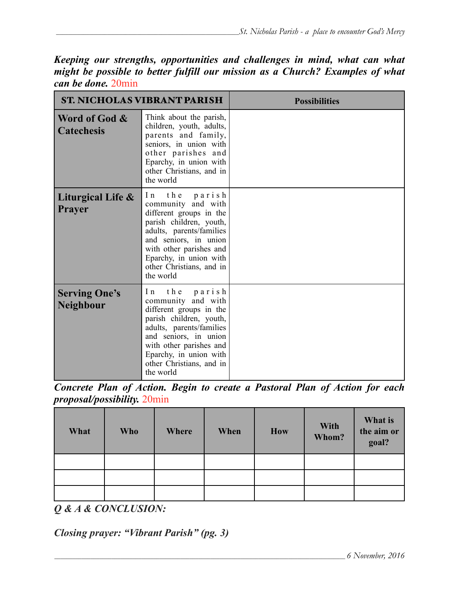*Keeping our strengths, opportunities and challenges in mind, what can what might be possible to better fulfill our mission as a Church? Examples of what can be done.* 20min

|                                          | <b>ST. NICHOLAS VIBRANT PARISH</b>                                                                                                                                                                                                                 | <b>Possibilities</b> |
|------------------------------------------|----------------------------------------------------------------------------------------------------------------------------------------------------------------------------------------------------------------------------------------------------|----------------------|
| Word of God &<br><b>Catechesis</b>       | Think about the parish,<br>children, youth, adults,<br>parents and family,<br>seniors, in union with<br>other parishes and<br>Eparchy, in union with<br>other Christians, and in<br>the world                                                      |                      |
| Liturgical Life &<br><b>Prayer</b>       | In the parish<br>community and with<br>different groups in the<br>parish children, youth,<br>adults, parents/families<br>and seniors, in union<br>with other parishes and<br>Eparchy, in union with<br>other Christians, and in<br>the world       |                      |
| <b>Serving One's</b><br><b>Neighbour</b> | the parish<br>$\ln$<br>community and with<br>different groups in the<br>parish children, youth,<br>adults, parents/families<br>and seniors, in union<br>with other parishes and<br>Eparchy, in union with<br>other Christians, and in<br>the world |                      |

*Concrete Plan of Action. Begin to create a Pastoral Plan of Action for each proposal/possibility.* 20min

| What | <b>Who</b> | Where | When | <b>How</b> | With<br>Whom? | What is<br>the aim or<br>goal? |
|------|------------|-------|------|------------|---------------|--------------------------------|
|      |            |       |      |            |               |                                |
|      |            |       |      |            |               |                                |
|      |            |       |      |            |               |                                |

*Q & A & CONCLUSION:*

*Closing prayer: "Vibrant Parish" (pg. 3)*